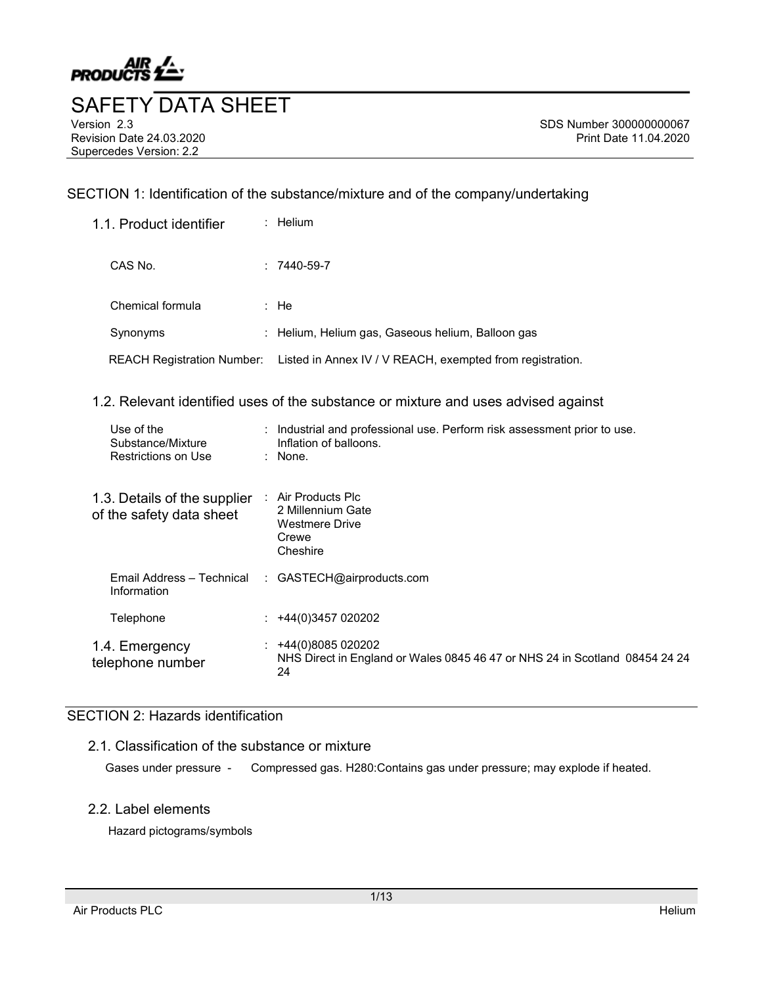**PRODUCTS** 

Revision Date 24.03.2020 Supercedes Version: 2.2

SDS Number 300000000067 Print Date 11.04.2020

SECTION 1: Identification of the substance/mixture and of the company/undertaking

| 1.1. Product identifier |  | $:$ Helium                                                                           |
|-------------------------|--|--------------------------------------------------------------------------------------|
| CAS No.                 |  | $: 7440 - 59 - 7$                                                                    |
| Chemical formula        |  | : He                                                                                 |
| Synonyms                |  | : Helium, Helium gas, Gaseous helium, Balloon gas                                    |
|                         |  | REACH Registration Number: Listed in Annex IV / V REACH, exempted from registration. |

1.2. Relevant identified uses of the substance or mixture and uses advised against

| Use of the<br>Substance/Mixture<br>Restrictions on Use   | : Industrial and professional use. Perform risk assessment prior to use.<br>Inflation of balloons.<br>$:$ None. |
|----------------------------------------------------------|-----------------------------------------------------------------------------------------------------------------|
| 1.3. Details of the supplier<br>of the safety data sheet | Air Products Plc<br>2 Millennium Gate<br><b>Westmere Drive</b><br>Crewe<br>Cheshire                             |
| Email Address - Technical<br>Information                 | : GASTECH@airproducts.com                                                                                       |
| Telephone                                                | $\div$ +44(0)3457 020202                                                                                        |
| 1.4. Emergency<br>telephone number                       | +44(0)8085 020202<br>NHS Direct in England or Wales 0845 46 47 or NHS 24 in Scotland 08454 24 24<br>24          |

## SECTION 2: Hazards identification

## 2.1. Classification of the substance or mixture

Gases under pressure - Compressed gas. H280:Contains gas under pressure; may explode if heated.

## 2.2. Label elements

Hazard pictograms/symbols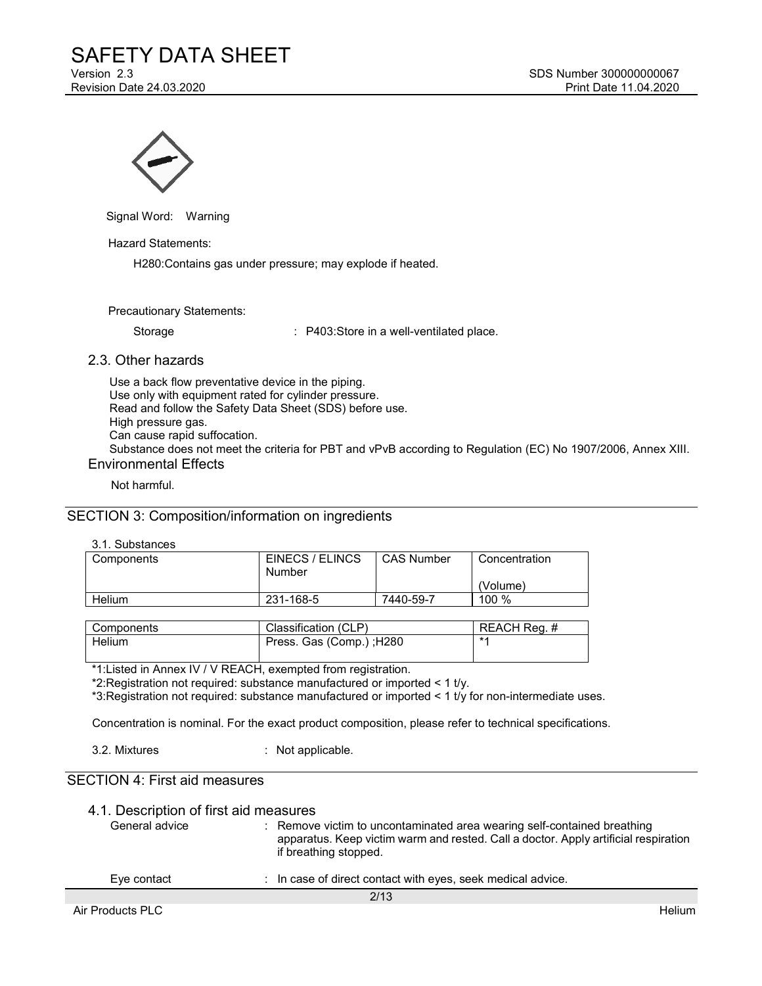

Signal Word: Warning

Hazard Statements:

H280:Contains gas under pressure; may explode if heated.

Precautionary Statements:

Storage : P403:Store in a well-ventilated place.

#### 2.3. Other hazards

Use a back flow preventative device in the piping. Use only with equipment rated for cylinder pressure. Read and follow the Safety Data Sheet (SDS) before use. High pressure gas. Can cause rapid suffocation. Substance does not meet the criteria for PBT and vPvB according to Regulation (EC) No 1907/2006, Annex XIII.

#### Environmental Effects

Not harmful.

## SECTION 3: Composition/information on ingredients

3.1. Substances

| Components    | EINECS / ELINCS<br>Number | <b>CAS Number</b> | Concentration |
|---------------|---------------------------|-------------------|---------------|
|               |                           |                   | (Volume)      |
| <b>Helium</b> | 231-168-5                 | 7440-59-7         | 100 %         |

| Components | Classification (CLP)     | REACH Rea. # |
|------------|--------------------------|--------------|
| Helium     | Press. Gas (Comp.); H280 | $*$ 4        |

\*1:Listed in Annex IV / V REACH, exempted from registration.

\*2:Registration not required: substance manufactured or imported < 1 t/y.

\*3:Registration not required: substance manufactured or imported < 1 t/y for non-intermediate uses.

Concentration is nominal. For the exact product composition, please refer to technical specifications.

3.2. Mixtures : Not applicable.

## SECTION 4: First aid measures

| 4.1. Description of first aid measures |                                                                                                                                                                                         |  |  |  |
|----------------------------------------|-----------------------------------------------------------------------------------------------------------------------------------------------------------------------------------------|--|--|--|
| General advice                         | : Remove victim to uncontaminated area wearing self-contained breathing<br>apparatus. Keep victim warm and rested. Call a doctor. Apply artificial respiration<br>if breathing stopped. |  |  |  |
| Eye contact                            | : In case of direct contact with eyes, seek medical advice.                                                                                                                             |  |  |  |
|                                        | 2/13                                                                                                                                                                                    |  |  |  |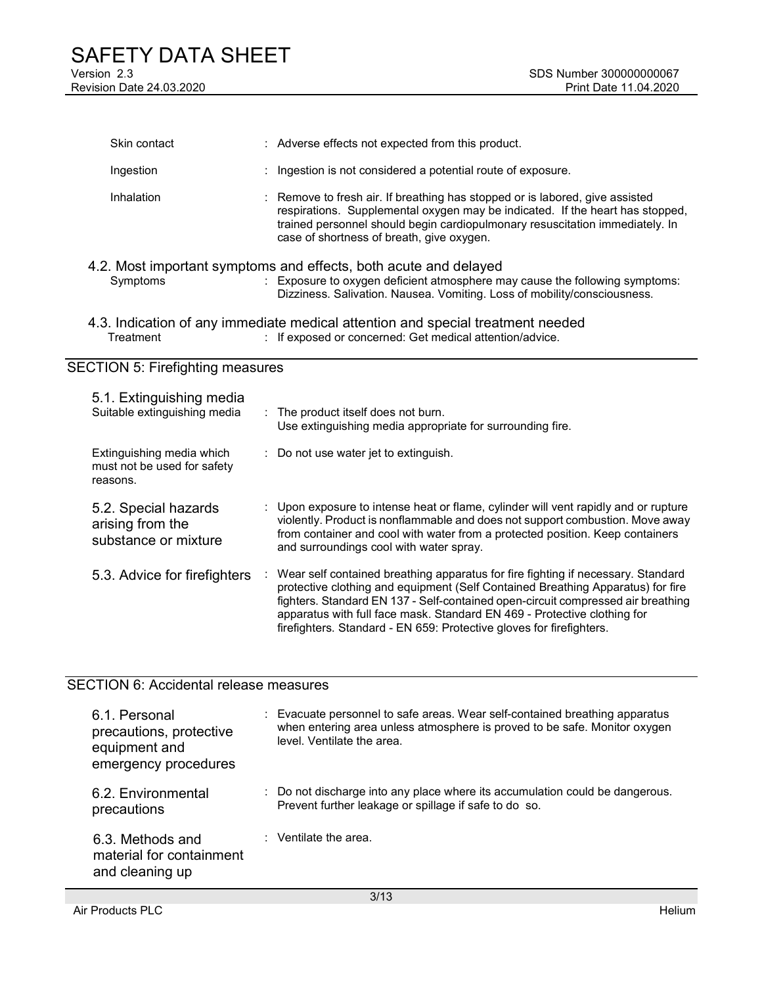Revision Date 24.03.2020

| Skin contact                                                     | : Adverse effects not expected from this product.                                                                                                                                                                                                                                          |  |  |  |
|------------------------------------------------------------------|--------------------------------------------------------------------------------------------------------------------------------------------------------------------------------------------------------------------------------------------------------------------------------------------|--|--|--|
| Ingestion                                                        | : Ingestion is not considered a potential route of exposure.                                                                                                                                                                                                                               |  |  |  |
| Inhalation                                                       | : Remove to fresh air. If breathing has stopped or is labored, give assisted<br>respirations. Supplemental oxygen may be indicated. If the heart has stopped,<br>trained personnel should begin cardiopulmonary resuscitation immediately. In<br>case of shortness of breath, give oxygen. |  |  |  |
| 4.2. Most important symptoms and effects, both acute and delayed |                                                                                                                                                                                                                                                                                            |  |  |  |
| Symptoms                                                         | : Exposure to oxygen deficient atmosphere may cause the following symptoms:<br>Dizziness. Salivation. Nausea. Vomiting. Loss of mobility/consciousness.                                                                                                                                    |  |  |  |
| Treatment                                                        | 4.3. Indication of any immediate medical attention and special treatment needed<br>: If exposed or concerned: Get medical attention/advice.                                                                                                                                                |  |  |  |

## SECTION 5: Firefighting measures

| 5.1. Extinguishing media<br>Suitable extinguishing media             | : The product itself does not burn.<br>Use extinguishing media appropriate for surrounding fire.                                                                                                                                                                                                                                                                                                            |
|----------------------------------------------------------------------|-------------------------------------------------------------------------------------------------------------------------------------------------------------------------------------------------------------------------------------------------------------------------------------------------------------------------------------------------------------------------------------------------------------|
| Extinguishing media which<br>must not be used for safety<br>reasons. | : Do not use water jet to extinguish.                                                                                                                                                                                                                                                                                                                                                                       |
| 5.2. Special hazards<br>arising from the<br>substance or mixture     | : Upon exposure to intense heat or flame, cylinder will vent rapidly and or rupture<br>violently. Product is nonflammable and does not support combustion. Move away<br>from container and cool with water from a protected position. Keep containers<br>and surroundings cool with water spray.                                                                                                            |
| 5.3. Advice for firefighters                                         | Wear self contained breathing apparatus for fire fighting if necessary. Standard<br>protective clothing and equipment (Self Contained Breathing Apparatus) for fire<br>fighters. Standard EN 137 - Self-contained open-circuit compressed air breathing<br>apparatus with full face mask. Standard EN 469 - Protective clothing for<br>firefighters. Standard - EN 659: Protective gloves for firefighters. |

## SECTION 6: Accidental release measures

| 6.1. Personal<br>precautions, protective<br>equipment and<br>emergency procedures | : Evacuate personnel to safe areas. Wear self-contained breathing apparatus<br>when entering area unless atmosphere is proved to be safe. Monitor oxygen<br>level. Ventilate the area. |
|-----------------------------------------------------------------------------------|----------------------------------------------------------------------------------------------------------------------------------------------------------------------------------------|
| 6.2. Environmental<br>precautions                                                 | : Do not discharge into any place where its accumulation could be dangerous.<br>Prevent further leakage or spillage if safe to do so.                                                  |
| 6.3. Methods and<br>material for containment<br>and cleaning up                   | $\therefore$ Ventilate the area.                                                                                                                                                       |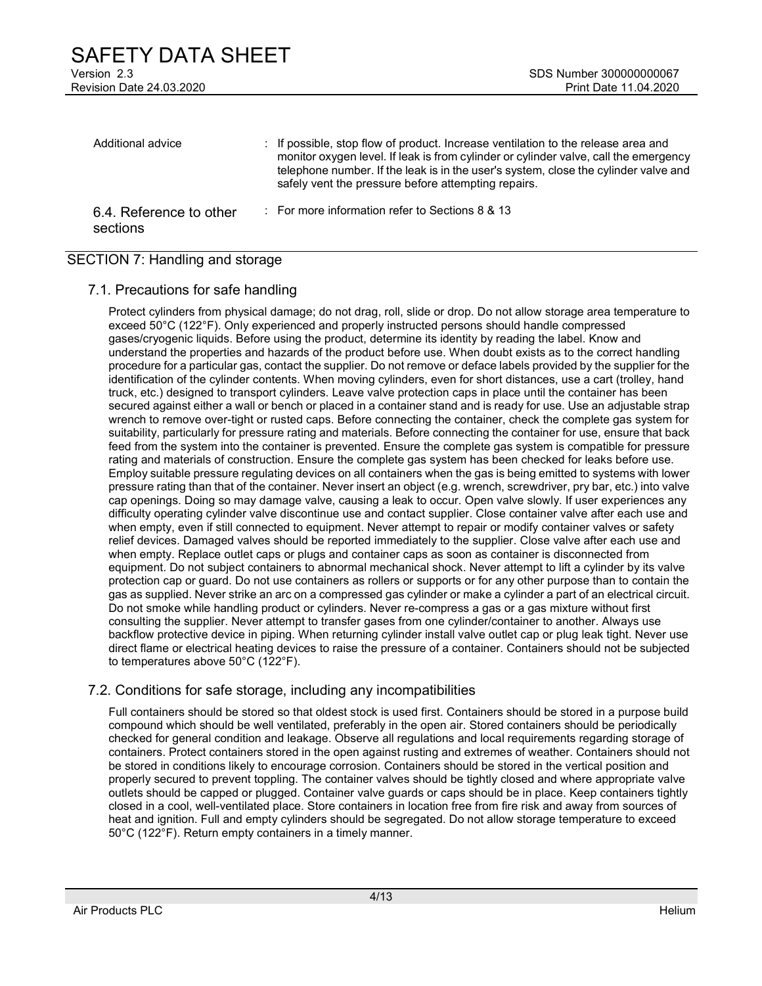| Additional advice                   | : If possible, stop flow of product. Increase ventilation to the release area and<br>monitor oxygen level. If leak is from cylinder or cylinder valve, call the emergency<br>telephone number. If the leak is in the user's system, close the cylinder valve and<br>safely vent the pressure before attempting repairs. |
|-------------------------------------|-------------------------------------------------------------------------------------------------------------------------------------------------------------------------------------------------------------------------------------------------------------------------------------------------------------------------|
| 6.4. Reference to other<br>sections | : For more information refer to Sections $8 & 13$                                                                                                                                                                                                                                                                       |

## SECTION 7: Handling and storage

## 7.1. Precautions for safe handling

Protect cylinders from physical damage; do not drag, roll, slide or drop. Do not allow storage area temperature to exceed 50°C (122°F). Only experienced and properly instructed persons should handle compressed gases/cryogenic liquids. Before using the product, determine its identity by reading the label. Know and understand the properties and hazards of the product before use. When doubt exists as to the correct handling procedure for a particular gas, contact the supplier. Do not remove or deface labels provided by the supplier for the identification of the cylinder contents. When moving cylinders, even for short distances, use a cart (trolley, hand truck, etc.) designed to transport cylinders. Leave valve protection caps in place until the container has been secured against either a wall or bench or placed in a container stand and is ready for use. Use an adjustable strap wrench to remove over-tight or rusted caps. Before connecting the container, check the complete gas system for suitability, particularly for pressure rating and materials. Before connecting the container for use, ensure that back feed from the system into the container is prevented. Ensure the complete gas system is compatible for pressure rating and materials of construction. Ensure the complete gas system has been checked for leaks before use. Employ suitable pressure regulating devices on all containers when the gas is being emitted to systems with lower pressure rating than that of the container. Never insert an object (e.g. wrench, screwdriver, pry bar, etc.) into valve cap openings. Doing so may damage valve, causing a leak to occur. Open valve slowly. If user experiences any difficulty operating cylinder valve discontinue use and contact supplier. Close container valve after each use and when empty, even if still connected to equipment. Never attempt to repair or modify container valves or safety relief devices. Damaged valves should be reported immediately to the supplier. Close valve after each use and when empty. Replace outlet caps or plugs and container caps as soon as container is disconnected from equipment. Do not subject containers to abnormal mechanical shock. Never attempt to lift a cylinder by its valve protection cap or guard. Do not use containers as rollers or supports or for any other purpose than to contain the gas as supplied. Never strike an arc on a compressed gas cylinder or make a cylinder a part of an electrical circuit. Do not smoke while handling product or cylinders. Never re-compress a gas or a gas mixture without first consulting the supplier. Never attempt to transfer gases from one cylinder/container to another. Always use backflow protective device in piping. When returning cylinder install valve outlet cap or plug leak tight. Never use direct flame or electrical heating devices to raise the pressure of a container. Containers should not be subjected to temperatures above 50°C (122°F).

## 7.2. Conditions for safe storage, including any incompatibilities

Full containers should be stored so that oldest stock is used first. Containers should be stored in a purpose build compound which should be well ventilated, preferably in the open air. Stored containers should be periodically checked for general condition and leakage. Observe all regulations and local requirements regarding storage of containers. Protect containers stored in the open against rusting and extremes of weather. Containers should not be stored in conditions likely to encourage corrosion. Containers should be stored in the vertical position and properly secured to prevent toppling. The container valves should be tightly closed and where appropriate valve outlets should be capped or plugged. Container valve guards or caps should be in place. Keep containers tightly closed in a cool, well-ventilated place. Store containers in location free from fire risk and away from sources of heat and ignition. Full and empty cylinders should be segregated. Do not allow storage temperature to exceed 50°C (122°F). Return empty containers in a timely manner.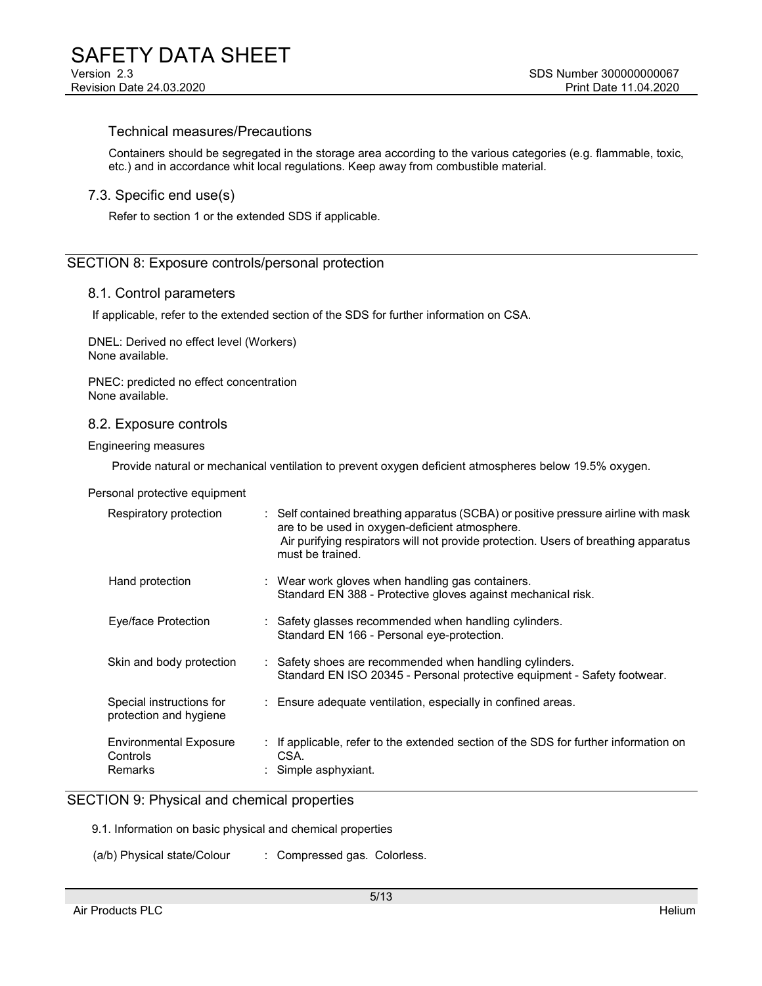#### Technical measures/Precautions

Containers should be segregated in the storage area according to the various categories (e.g. flammable, toxic, etc.) and in accordance whit local regulations. Keep away from combustible material.

#### 7.3. Specific end use(s)

Refer to section 1 or the extended SDS if applicable.

#### SECTION 8: Exposure controls/personal protection

#### 8.1. Control parameters

If applicable, refer to the extended section of the SDS for further information on CSA.

DNEL: Derived no effect level (Workers) None available.

PNEC: predicted no effect concentration None available.

#### 8.2. Exposure controls

Engineering measures

Provide natural or mechanical ventilation to prevent oxygen deficient atmospheres below 19.5% oxygen.

#### Personal protective equipment

| Respiratory protection                                      | $\therefore$ Self contained breathing apparatus (SCBA) or positive pressure airline with mask<br>are to be used in oxygen-deficient atmosphere.<br>Air purifying respirators will not provide protection. Users of breathing apparatus<br>must be trained. |
|-------------------------------------------------------------|------------------------------------------------------------------------------------------------------------------------------------------------------------------------------------------------------------------------------------------------------------|
| Hand protection                                             | $\therefore$ Wear work gloves when handling gas containers.<br>Standard EN 388 - Protective gloves against mechanical risk.                                                                                                                                |
| Eye/face Protection                                         | : Safety glasses recommended when handling cylinders.<br>Standard EN 166 - Personal eye-protection.                                                                                                                                                        |
| Skin and body protection                                    | : Safety shoes are recommended when handling cylinders.<br>Standard EN ISO 20345 - Personal protective equipment - Safety footwear.                                                                                                                        |
| Special instructions for<br>protection and hygiene          | : Ensure adequate ventilation, especially in confined areas.                                                                                                                                                                                               |
| <b>Environmental Exposure</b><br>Controls<br><b>Remarks</b> | $\therefore$ If applicable, refer to the extended section of the SDS for further information on<br>CSA.<br>Simple asphyxiant.                                                                                                                              |

## SECTION 9: Physical and chemical properties

9.1. Information on basic physical and chemical properties

(a/b) Physical state/Colour : Compressed gas. Colorless.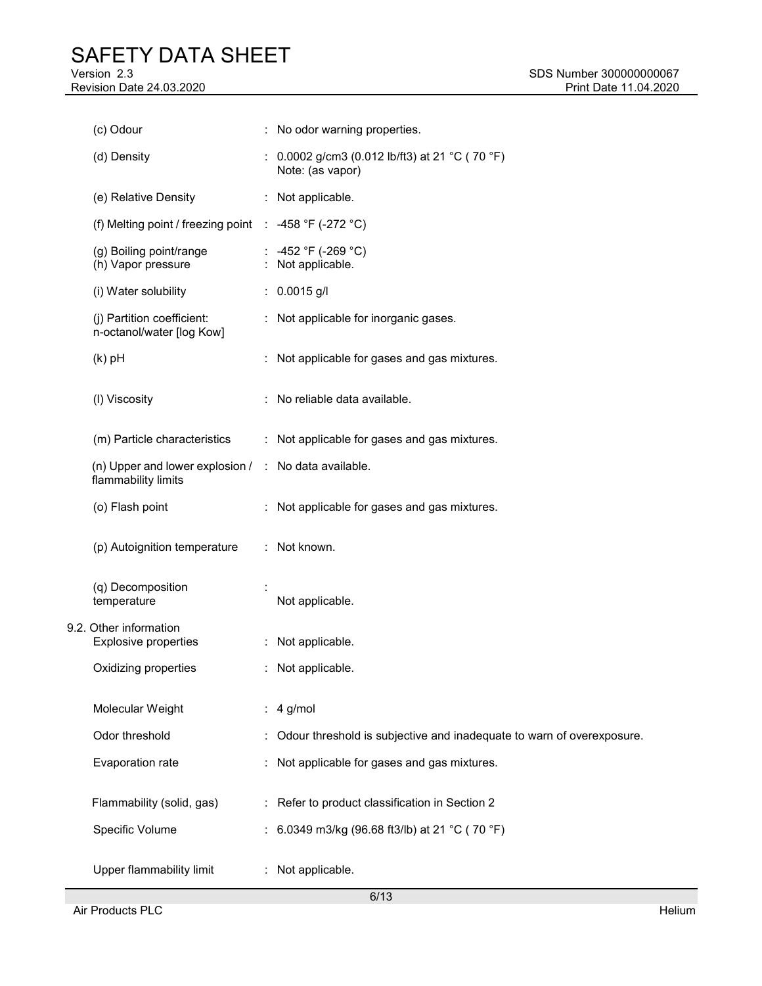| (c) Odour                                                                | No odor warning properties.                                           |
|--------------------------------------------------------------------------|-----------------------------------------------------------------------|
| (d) Density                                                              | : $0.0002$ g/cm3 (0.012 lb/ft3) at 21 °C (70 °F)<br>Note: (as vapor)  |
| (e) Relative Density                                                     | : Not applicable.                                                     |
| (f) Melting point / freezing point : -458 $\degree$ F (-272 $\degree$ C) |                                                                       |
| (g) Boiling point/range<br>(h) Vapor pressure                            | : -452 °F (-269 °C)<br>: Not applicable.                              |
| (i) Water solubility                                                     | $: 0.0015$ g/l                                                        |
| (j) Partition coefficient:<br>n-octanol/water [log Kow]                  | : Not applicable for inorganic gases.                                 |
| $(k)$ pH                                                                 | Not applicable for gases and gas mixtures.                            |
| (I) Viscosity                                                            | : No reliable data available.                                         |
| (m) Particle characteristics                                             | : Not applicable for gases and gas mixtures.                          |
| (n) Upper and lower explosion $/$ :<br>flammability limits               | No data available.                                                    |
| (o) Flash point                                                          | : Not applicable for gases and gas mixtures.                          |
| (p) Autoignition temperature                                             | : Not known.                                                          |
| (q) Decomposition<br>temperature                                         | Not applicable.                                                       |
| 9.2. Other information<br><b>Explosive properties</b>                    | : Not applicable.                                                     |
| Oxidizing properties                                                     | : Not applicable.                                                     |
| Molecular Weight                                                         | 4 g/mol                                                               |
| Odor threshold                                                           | Odour threshold is subjective and inadequate to warn of overexposure. |
| Evaporation rate                                                         | Not applicable for gases and gas mixtures.                            |
| Flammability (solid, gas)                                                | Refer to product classification in Section 2                          |
| Specific Volume                                                          | 6.0349 m3/kg (96.68 ft3/lb) at 21 °C (70 °F)                          |
| Upper flammability limit                                                 | Not applicable.                                                       |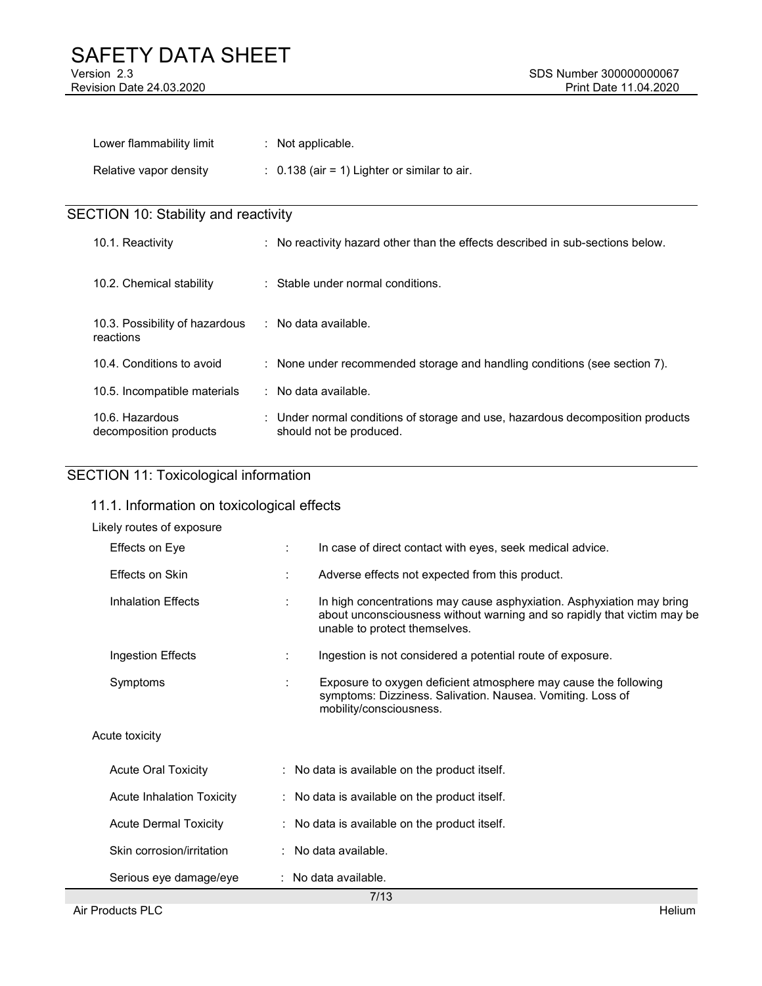| Lower flammability limit                    | $:$ Not applicable.                                                                                       |
|---------------------------------------------|-----------------------------------------------------------------------------------------------------------|
| Relative vapor density                      | $\therefore$ 0.138 (air = 1) Lighter or similar to air.                                                   |
|                                             |                                                                                                           |
| <b>SECTION 10: Stability and reactivity</b> |                                                                                                           |
| 10.1. Reactivity                            | : No reactivity hazard other than the effects described in sub-sections below.                            |
| 10.2. Chemical stability                    | : Stable under normal conditions.                                                                         |
| 10.3. Possibility of hazardous<br>reactions | : No data available.                                                                                      |
| 10.4. Conditions to avoid                   | : None under recommended storage and handling conditions (see section 7).                                 |
| 10.5. Incompatible materials                | : No data available.                                                                                      |
| 10.6. Hazardous<br>decomposition products   | : Under normal conditions of storage and use, hazardous decomposition products<br>should not be produced. |

## SECTION 11: Toxicological information

## 11.1. Information on toxicological effects

| Likely routes of exposure        |                                                                                                                                                                                   |  |
|----------------------------------|-----------------------------------------------------------------------------------------------------------------------------------------------------------------------------------|--|
| Effects on Eye                   | In case of direct contact with eyes, seek medical advice.                                                                                                                         |  |
| Effects on Skin                  | Adverse effects not expected from this product.                                                                                                                                   |  |
| Inhalation Effects               | In high concentrations may cause asphyxiation. Asphyxiation may bring<br>about unconsciousness without warning and so rapidly that victim may be<br>unable to protect themselves. |  |
| Ingestion Effects                | Ingestion is not considered a potential route of exposure.                                                                                                                        |  |
| Symptoms                         | Exposure to oxygen deficient atmosphere may cause the following<br>symptoms: Dizziness. Salivation. Nausea. Vomiting. Loss of<br>mobility/consciousness.                          |  |
| Acute toxicity                   |                                                                                                                                                                                   |  |
| <b>Acute Oral Toxicity</b>       | : No data is available on the product itself.                                                                                                                                     |  |
| <b>Acute Inhalation Toxicity</b> | : No data is available on the product itself.                                                                                                                                     |  |
| <b>Acute Dermal Toxicity</b>     | : No data is available on the product itself.                                                                                                                                     |  |
| Skin corrosion/irritation        | No data available.                                                                                                                                                                |  |
| Serious eye damage/eye           | $\therefore$ No data available.                                                                                                                                                   |  |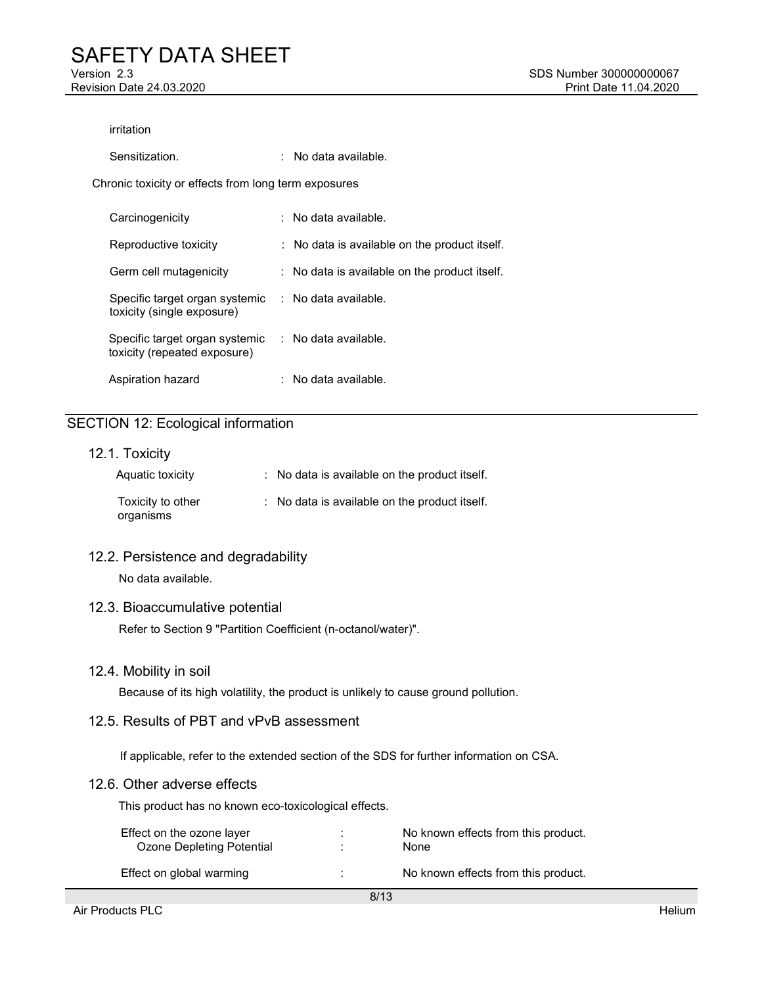#### irritation

| Sensitization. | No data available. |
|----------------|--------------------|
|                |                    |

Chronic toxicity or effects from long term exposures

| Carcinogenicity                                                | $\therefore$ No data available.                          |
|----------------------------------------------------------------|----------------------------------------------------------|
| Reproductive toxicity                                          | $:$ No data is available on the product itself.          |
| Germ cell mutagenicity                                         | $\therefore$ No data is available on the product itself. |
| Specific target organ systemic<br>toxicity (single exposure)   | $:$ No data available.                                   |
| Specific target organ systemic<br>toxicity (repeated exposure) | $:$ No data available.                                   |
| Aspiration hazard                                              | $:$ No data available.                                   |

## SECTION 12: Ecological information

|  |  |  | 12.1. Toxicity |  |
|--|--|--|----------------|--|
|  |  |  |                |  |

| Aquatic toxicity               | $\therefore$ No data is available on the product itself. |
|--------------------------------|----------------------------------------------------------|
| Toxicity to other<br>organisms | : No data is available on the product itself.            |

## 12.2. Persistence and degradability

No data available.

## 12.3. Bioaccumulative potential

Refer to Section 9 "Partition Coefficient (n-octanol/water)".

#### 12.4. Mobility in soil

Because of its high volatility, the product is unlikely to cause ground pollution.

## 12.5. Results of PBT and vPvB assessment

If applicable, refer to the extended section of the SDS for further information on CSA.

#### 12.6. Other adverse effects

This product has no known eco-toxicological effects.

| Effect on the ozone layer<br>Ozone Depleting Potential | No known effects from this product.<br><b>None</b> |
|--------------------------------------------------------|----------------------------------------------------|
| Effect on global warming                               | No known effects from this product.                |
|                                                        |                                                    |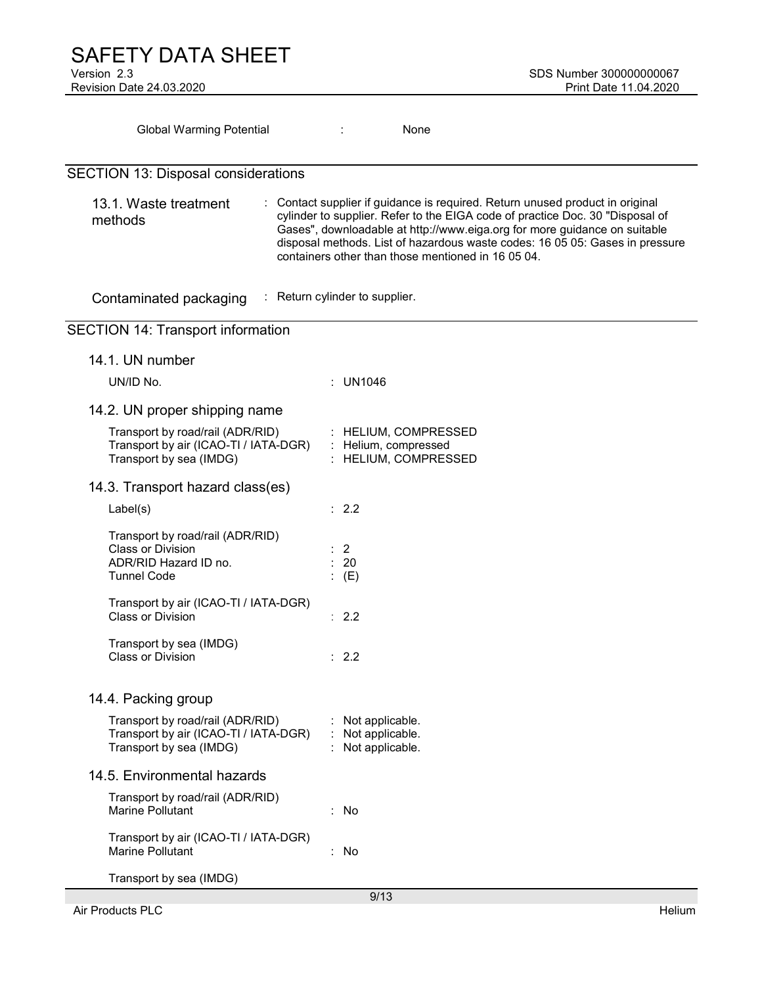| <b>Global Warming Potential</b>                                                                             | None                                                                                                                                                                                                                                                                                                                                                                            |
|-------------------------------------------------------------------------------------------------------------|---------------------------------------------------------------------------------------------------------------------------------------------------------------------------------------------------------------------------------------------------------------------------------------------------------------------------------------------------------------------------------|
| <b>SECTION 13: Disposal considerations</b>                                                                  |                                                                                                                                                                                                                                                                                                                                                                                 |
| 13.1. Waste treatment<br>methods                                                                            | Contact supplier if guidance is required. Return unused product in original<br>cylinder to supplier. Refer to the EIGA code of practice Doc. 30 "Disposal of<br>Gases", downloadable at http://www.eiga.org for more guidance on suitable<br>disposal methods. List of hazardous waste codes: 16 05 05: Gases in pressure<br>containers other than those mentioned in 16 05 04. |
| Contaminated packaging                                                                                      | : Return cylinder to supplier.                                                                                                                                                                                                                                                                                                                                                  |
| <b>SECTION 14: Transport information</b>                                                                    |                                                                                                                                                                                                                                                                                                                                                                                 |
| 14.1. UN number                                                                                             |                                                                                                                                                                                                                                                                                                                                                                                 |
| UN/ID No.                                                                                                   | : UN1046                                                                                                                                                                                                                                                                                                                                                                        |
| 14.2. UN proper shipping name                                                                               |                                                                                                                                                                                                                                                                                                                                                                                 |
| Transport by road/rail (ADR/RID)<br>Transport by air (ICAO-TI / IATA-DGR)<br>Transport by sea (IMDG)        | : HELIUM, COMPRESSED<br>: Helium, compressed<br>: HELIUM, COMPRESSED                                                                                                                                                                                                                                                                                                            |
| 14.3. Transport hazard class(es)                                                                            |                                                                                                                                                                                                                                                                                                                                                                                 |
| Label(s)                                                                                                    | $\therefore$ 2.2                                                                                                                                                                                                                                                                                                                                                                |
| Transport by road/rail (ADR/RID)<br><b>Class or Division</b><br>ADR/RID Hazard ID no.<br><b>Tunnel Code</b> | 2<br>$\therefore$ 20<br>$\colon$ (E)                                                                                                                                                                                                                                                                                                                                            |
| Transport by air (ICAO-TI / IATA-DGR)<br><b>Class or Division</b>                                           | 2.2<br>÷                                                                                                                                                                                                                                                                                                                                                                        |
| Transport by sea (IMDG)<br><b>Class or Division</b>                                                         | : 2.2                                                                                                                                                                                                                                                                                                                                                                           |
| 14.4. Packing group                                                                                         |                                                                                                                                                                                                                                                                                                                                                                                 |
| Transport by road/rail (ADR/RID)<br>Transport by air (ICAO-TI / IATA-DGR)<br>Transport by sea (IMDG)        | : Not applicable.<br>: Not applicable.<br>: Not applicable.                                                                                                                                                                                                                                                                                                                     |
| 14.5. Environmental hazards                                                                                 |                                                                                                                                                                                                                                                                                                                                                                                 |
| Transport by road/rail (ADR/RID)<br>Marine Pollutant                                                        | t.<br>No                                                                                                                                                                                                                                                                                                                                                                        |
| Transport by air (ICAO-TI / IATA-DGR)<br><b>Marine Pollutant</b>                                            | t.<br>No                                                                                                                                                                                                                                                                                                                                                                        |
| Transport by sea (IMDG)                                                                                     |                                                                                                                                                                                                                                                                                                                                                                                 |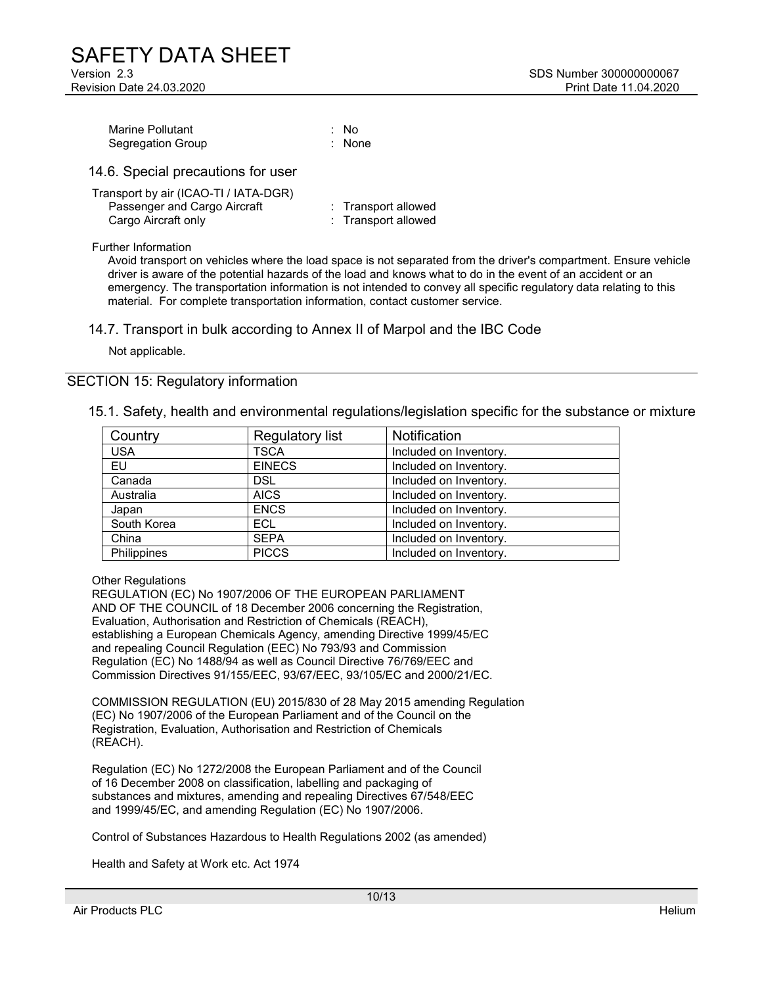| Marine Pollutant                      | : No                |
|---------------------------------------|---------------------|
| Segregation Group                     | $:$ None            |
| 14.6. Special precautions for user    |                     |
| Transport by air (ICAO-TI / IATA-DGR) |                     |
| Passenger and Cargo Aircraft          | : Transport allowed |
| Cargo Aircraft only                   | : Transport allowed |

Further Information

Avoid transport on vehicles where the load space is not separated from the driver's compartment. Ensure vehicle driver is aware of the potential hazards of the load and knows what to do in the event of an accident or an emergency. The transportation information is not intended to convey all specific regulatory data relating to this material. For complete transportation information, contact customer service.

14.7. Transport in bulk according to Annex II of Marpol and the IBC Code

Not applicable.

#### SECTION 15: Regulatory information

|  |  |  | 15.1. Safety, health and environmental regulations/legislation specific for the substance or mixture |  |
|--|--|--|------------------------------------------------------------------------------------------------------|--|
|  |  |  |                                                                                                      |  |

| Country     | Regulatory list | <b>Notification</b>    |
|-------------|-----------------|------------------------|
| <b>USA</b>  | <b>TSCA</b>     | Included on Inventory. |
| EU          | <b>EINECS</b>   | Included on Inventory. |
| Canada      | DSL.            | Included on Inventory. |
| Australia   | <b>AICS</b>     | Included on Inventory. |
| Japan       | <b>ENCS</b>     | Included on Inventory. |
| South Korea | <b>ECL</b>      | Included on Inventory. |
| China       | <b>SFPA</b>     | Included on Inventory. |
| Philippines | <b>PICCS</b>    | Included on Inventory. |

#### Other Regulations

REGULATION (EC) No 1907/2006 OF THE EUROPEAN PARLIAMENT AND OF THE COUNCIL of 18 December 2006 concerning the Registration, Evaluation, Authorisation and Restriction of Chemicals (REACH), establishing a European Chemicals Agency, amending Directive 1999/45/EC and repealing Council Regulation (EEC) No 793/93 and Commission Regulation (EC) No 1488/94 as well as Council Directive 76/769/EEC and Commission Directives 91/155/EEC, 93/67/EEC, 93/105/EC and 2000/21/EC.

COMMISSION REGULATION (EU) 2015/830 of 28 May 2015 amending Regulation (EC) No 1907/2006 of the European Parliament and of the Council on the Registration, Evaluation, Authorisation and Restriction of Chemicals (REACH).

Regulation (EC) No 1272/2008 the European Parliament and of the Council of 16 December 2008 on classification, labelling and packaging of substances and mixtures, amending and repealing Directives 67/548/EEC and 1999/45/EC, and amending Regulation (EC) No 1907/2006.

Control of Substances Hazardous to Health Regulations 2002 (as amended)

Health and Safety at Work etc. Act 1974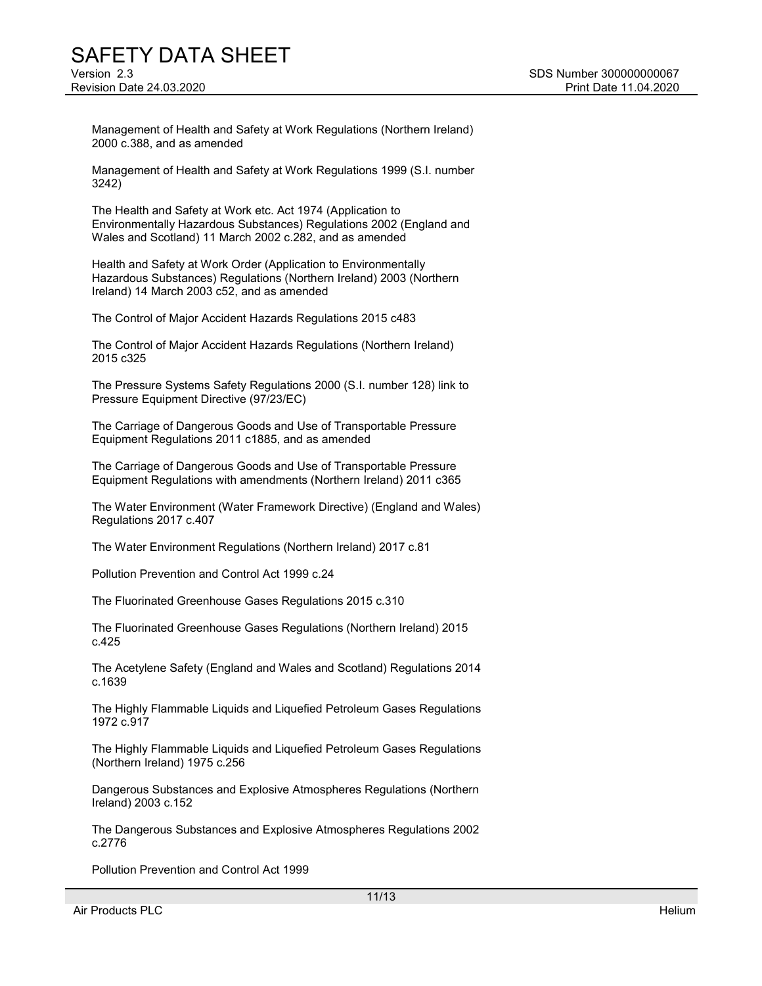# SAFETY DATA SHEET<br><sub>Version</sub> 2.3

Management of Health and Safety at Work Regulations (Northern Ireland) 2000 c.388, and as amended

Management of Health and Safety at Work Regulations 1999 (S.I. number 3242)

The Health and Safety at Work etc. Act 1974 (Application to Environmentally Hazardous Substances) Regulations 2002 (England and Wales and Scotland) 11 March 2002 c.282, and as amended

Health and Safety at Work Order (Application to Environmentally Hazardous Substances) Regulations (Northern Ireland) 2003 (Northern Ireland) 14 March 2003 c52, and as amended

The Control of Major Accident Hazards Regulations 2015 c483

The Control of Major Accident Hazards Regulations (Northern Ireland) 2015 c325

The Pressure Systems Safety Regulations 2000 (S.I. number 128) link to Pressure Equipment Directive (97/23/EC)

The Carriage of Dangerous Goods and Use of Transportable Pressure Equipment Regulations 2011 c1885, and as amended

The Carriage of Dangerous Goods and Use of Transportable Pressure Equipment Regulations with amendments (Northern Ireland) 2011 c365

The Water Environment (Water Framework Directive) (England and Wales) Regulations 2017 c.407

The Water Environment Regulations (Northern Ireland) 2017 c.81

Pollution Prevention and Control Act 1999 c.24

The Fluorinated Greenhouse Gases Regulations 2015 c.310

The Fluorinated Greenhouse Gases Regulations (Northern Ireland) 2015 c.425

The Acetylene Safety (England and Wales and Scotland) Regulations 2014 c.1639

The Highly Flammable Liquids and Liquefied Petroleum Gases Regulations 1972 c.917

The Highly Flammable Liquids and Liquefied Petroleum Gases Regulations (Northern Ireland) 1975 c.256

Dangerous Substances and Explosive Atmospheres Regulations (Northern Ireland) 2003 c.152

The Dangerous Substances and Explosive Atmospheres Regulations 2002 c.2776

Pollution Prevention and Control Act 1999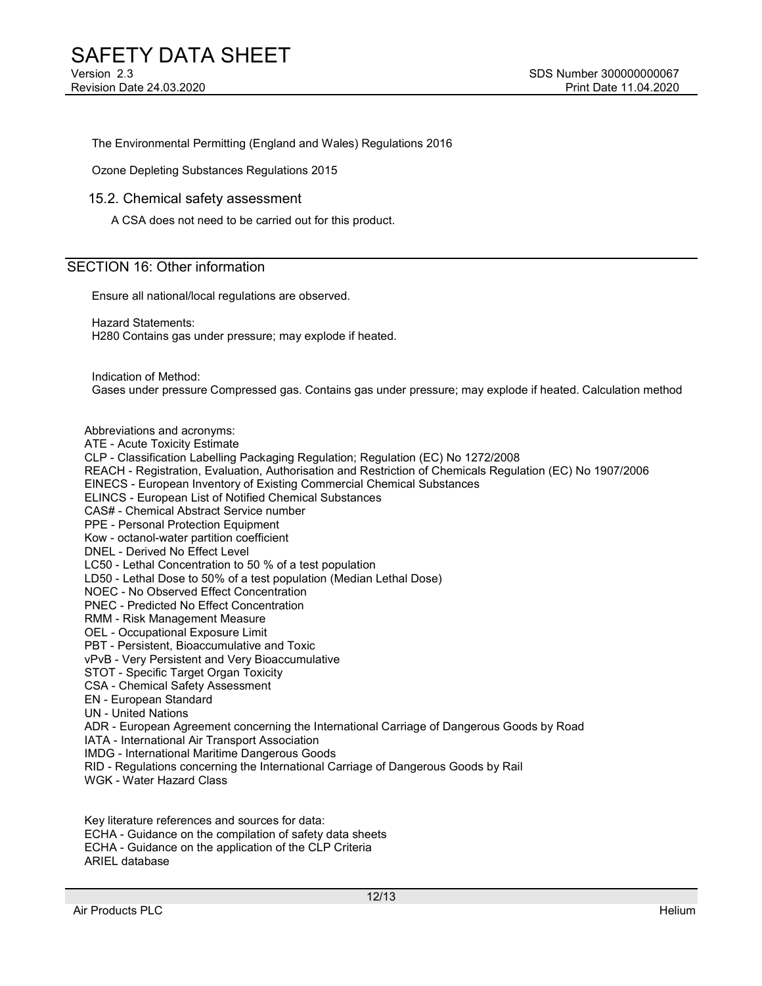The Environmental Permitting (England and Wales) Regulations 2016

Ozone Depleting Substances Regulations 2015

15.2. Chemical safety assessment

A CSA does not need to be carried out for this product.

## SECTION 16: Other information

Ensure all national/local regulations are observed.

Hazard Statements: H280 Contains gas under pressure; may explode if heated.

Indication of Method: Gases under pressure Compressed gas. Contains gas under pressure; may explode if heated. Calculation method

Abbreviations and acronyms: ATE - Acute Toxicity Estimate CLP - Classification Labelling Packaging Regulation; Regulation (EC) No 1272/2008 REACH - Registration, Evaluation, Authorisation and Restriction of Chemicals Regulation (EC) No 1907/2006 EINECS - European Inventory of Existing Commercial Chemical Substances ELINCS - European List of Notified Chemical Substances CAS# - Chemical Abstract Service number PPE - Personal Protection Equipment Kow - octanol-water partition coefficient DNEL - Derived No Effect Level LC50 - Lethal Concentration to 50 % of a test population LD50 - Lethal Dose to 50% of a test population (Median Lethal Dose) NOEC - No Observed Effect Concentration PNEC - Predicted No Effect Concentration RMM - Risk Management Measure OEL - Occupational Exposure Limit PBT - Persistent, Bioaccumulative and Toxic vPvB - Very Persistent and Very Bioaccumulative STOT - Specific Target Organ Toxicity CSA - Chemical Safety Assessment EN - European Standard UN - United Nations ADR - European Agreement concerning the International Carriage of Dangerous Goods by Road IATA - International Air Transport Association IMDG - International Maritime Dangerous Goods RID - Regulations concerning the International Carriage of Dangerous Goods by Rail WGK - Water Hazard Class

Key literature references and sources for data: ECHA - Guidance on the compilation of safety data sheets ECHA - Guidance on the application of the CLP Criteria ARIEL database